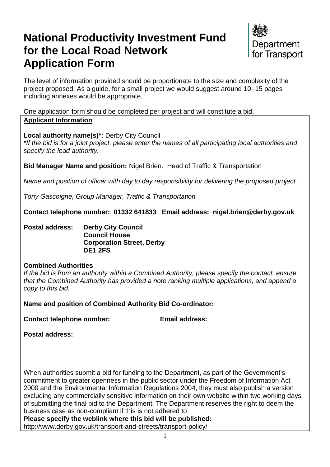# **National Productivity Investment Fund for the Local Road Network Application Form**



The level of information provided should be proportionate to the size and complexity of the project proposed. As a guide, for a small project we would suggest around 10 -15 pages including annexes would be appropriate.

One application form should be completed per project and will constitute a bid. **Applicant Information**

**Local authority name(s)\*:** Derby City Council

*\*If the bid is for a joint project, please enter the names of all participating local authorities and specify the lead authority.*

**Bid Manager Name and position:** Nigel Brien. Head of Traffic & Transportation

*Name and position of officer with day to day responsibility for delivering the proposed project.*

*Tony Gascoigne, Group Manager, Traffic & Transportation*

**Contact telephone number: 01332 641833 Email address: nigel.brien@derby.gov.uk**

**Postal address: Derby City Council Council House Corporation Street, Derby DE1 2FS**

### **Combined Authorities**

*If the bid is from an authority within a Combined Authority, please specify the contact, ensure that the Combined Authority has provided a note ranking multiple applications, and append a copy to this bid.*

**Name and position of Combined Authority Bid Co-ordinator:** 

**Contact telephone number: Email address:** 

**Postal address:**

When authorities submit a bid for funding to the Department, as part of the Government's commitment to greater openness in the public sector under the Freedom of Information Act 2000 and the Environmental Information Regulations 2004, they must also publish a version excluding any commercially sensitive information on their own website within two working days of submitting the final bid to the Department. The Department reserves the right to deem the business case as non-compliant if this is not adhered to.

**Please specify the weblink where this bid will be published:** 

http://www.derby.gov.uk/transport-and-streets/transport-policy/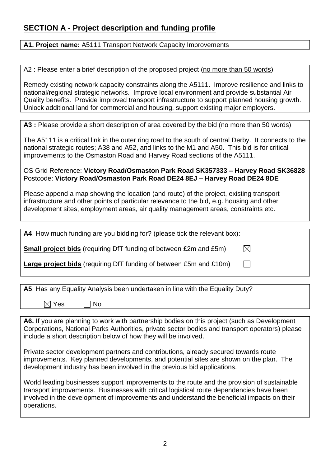# **SECTION A - Project description and funding profile**

**A1. Project name:** A5111 Transport Network Capacity Improvements

A2 : Please enter a brief description of the proposed project (no more than 50 words)

Remedy existing network capacity constraints along the A5111. Improve resilience and links to national/regional strategic networks. Improve local environment and provide substantial Air Quality benefits. Provide improved transport infrastructure to support planned housing growth. Unlock additional land for commercial and housing, support existing major employers.

A3 : Please provide a short description of area covered by the bid (no more than 50 words)

The A5111 is a critical link in the outer ring road to the south of central Derby. It connects to the national strategic routes; A38 and A52, and links to the M1 and A50. This bid is for critical improvements to the Osmaston Road and Harvey Road sections of the A5111.

OS Grid Reference: **Victory Road/Osmaston Park Road SK357333 – Harvey Road SK36828** Postcode: **Victory Road/Osmaston Park Road DE24 8EJ – Harvey Road DE24 8DE**

Please append a map showing the location (and route) of the project, existing transport infrastructure and other points of particular relevance to the bid, e.g. housing and other development sites, employment areas, air quality management areas, constraints etc.

| A4. How much funding are you bidding for? (please tick the relevant box): |           |
|---------------------------------------------------------------------------|-----------|
| <b>Small project bids</b> (requiring DfT funding of between £2m and £5m)  | $\bowtie$ |
| <b>Large project bids</b> (requiring DfT funding of between £5m and £10m) |           |

|  |  |  |  |  | A5. Has any Equality Analysis been undertaken in line with the Equality Duty? |  |  |  |  |
|--|--|--|--|--|-------------------------------------------------------------------------------|--|--|--|--|
|--|--|--|--|--|-------------------------------------------------------------------------------|--|--|--|--|

 $\boxtimes$  Yes  $\Box$  No

**A6.** If you are planning to work with partnership bodies on this project (such as Development Corporations, National Parks Authorities, private sector bodies and transport operators) please include a short description below of how they will be involved.

Private sector development partners and contributions, already secured towards route improvements. Key planned developments, and potential sites are shown on the plan. The development industry has been involved in the previous bid applications.

World leading businesses support improvements to the route and the provision of sustainable transport improvements. Businesses with critical logistical route dependencies have been involved in the development of improvements and understand the beneficial impacts on their operations.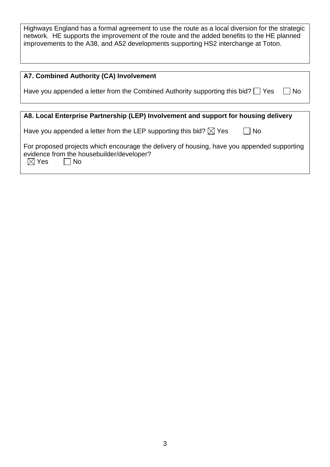Highways England has a formal agreement to use the route as a local diversion for the strategic network. HE supports the improvement of the route and the added benefits to the HE planned improvements to the A38, and A52 developments supporting HS2 interchange at Toton.

| A7. Combined Authority (CA) Involvement                                                                                                                                  |
|--------------------------------------------------------------------------------------------------------------------------------------------------------------------------|
| Have you appended a letter from the Combined Authority supporting this bid? $\Box$ Yes<br>No                                                                             |
|                                                                                                                                                                          |
| A8. Local Enterprise Partnership (LEP) Involvement and support for housing delivery                                                                                      |
| Have you appended a letter from the LEP supporting this bid? $\boxtimes$ Yes<br><b>No</b>                                                                                |
| For proposed projects which encourage the delivery of housing, have you appended supporting<br>evidence from the housebuilder/developer?<br>$\boxtimes$ Yes<br><b>No</b> |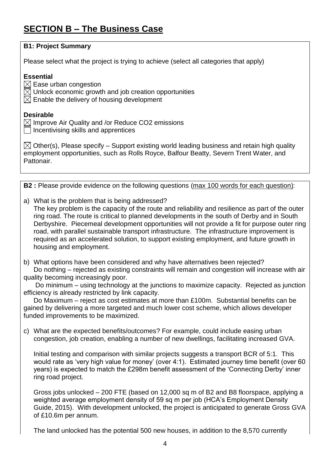# **SECTION B – The Business Case**

| <b>B1: Project Summary</b>                                                                                                                                                                                                                                                                                                                                                                                                                                                                                                                                                                             |
|--------------------------------------------------------------------------------------------------------------------------------------------------------------------------------------------------------------------------------------------------------------------------------------------------------------------------------------------------------------------------------------------------------------------------------------------------------------------------------------------------------------------------------------------------------------------------------------------------------|
| Please select what the project is trying to achieve (select all categories that apply)                                                                                                                                                                                                                                                                                                                                                                                                                                                                                                                 |
| <b>Essential</b><br>$\boxtimes$ Ease urban congestion<br>$\boxtimes$ Unlock economic growth and job creation opportunities<br>$\boxtimes$ Enable the delivery of housing development                                                                                                                                                                                                                                                                                                                                                                                                                   |
| <b>Desirable</b><br>$\boxtimes$ Improve Air Quality and /or Reduce CO2 emissions<br>$\Box$ Incentivising skills and apprentices                                                                                                                                                                                                                                                                                                                                                                                                                                                                        |
| $\boxtimes$ Other(s), Please specify – Support existing world leading business and retain high quality<br>employment opportunities, such as Rolls Royce, Balfour Beatty, Severn Trent Water, and<br>Pattonair.                                                                                                                                                                                                                                                                                                                                                                                         |
|                                                                                                                                                                                                                                                                                                                                                                                                                                                                                                                                                                                                        |
| <b>B2</b> : Please provide evidence on the following questions (max 100 words for each question):                                                                                                                                                                                                                                                                                                                                                                                                                                                                                                      |
| a) What is the problem that is being addressed?<br>The key problem is the capacity of the route and reliability and resilience as part of the outer<br>ring road. The route is critical to planned developments in the south of Derby and in South<br>Derbyshire. Piecemeal development opportunities will not provide a fit for purpose outer ring<br>road, with parallel sustainable transport infrastructure. The infrastructure improvement is<br>required as an accelerated solution, to support existing employment, and future growth in<br>housing and employment.                             |
| b) What options have been considered and why have alternatives been rejected?<br>Do nothing – rejected as existing constraints will remain and congestion will increase with air<br>quality becoming increasingly poor.<br>Do minimum – using technology at the junctions to maximize capacity. Rejected as junction<br>efficiency is already restricted by link capacity.<br>Do Maximum - reject as cost estimates at more than £100m. Substantial benefits can be<br>gained by delivering a more targeted and much lower cost scheme, which allows developer<br>funded improvements to be maximized. |
| c) What are the expected benefits/outcomes? For example, could include easing urban<br>congestion, job creation, enabling a number of new dwellings, facilitating increased GVA.                                                                                                                                                                                                                                                                                                                                                                                                                       |
| Initial testing and comparison with similar projects suggests a transport BCR of 5:1. This<br>would rate as 'very high value for money' (over 4:1). Estimated journey time benefit (over 60<br>years) is expected to match the £298m benefit assessment of the 'Connecting Derby' inner<br>ring road project.                                                                                                                                                                                                                                                                                          |
| Gross jobs unlocked – 200 FTE (based on 12,000 sq m of B2 and B8 floorspace, applying a<br>weighted average employment density of 59 sq m per job (HCA's Employment Density<br>Guide, 2015). With development unlocked, the project is anticipated to generate Gross GVA<br>of £10.6m per annum.                                                                                                                                                                                                                                                                                                       |
| The land unlocked has the potential 500 new houses, in addition to the 8,570 currently                                                                                                                                                                                                                                                                                                                                                                                                                                                                                                                 |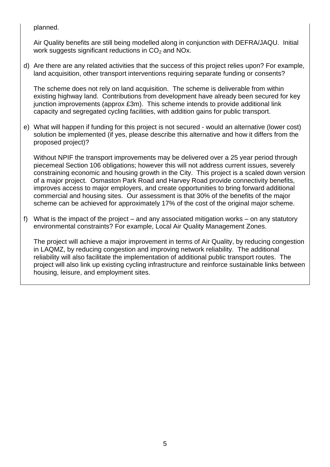planned.

Air Quality benefits are still being modelled along in conjunction with DEFRA/JAQU. Initial work suggests significant reductions in  $CO<sub>2</sub>$  and NOx.

d) Are there are any related activities that the success of this project relies upon? For example, land acquisition, other transport interventions requiring separate funding or consents?

The scheme does not rely on land acquisition. The scheme is deliverable from within existing highway land. Contributions from development have already been secured for key junction improvements (approx £3m). This scheme intends to provide additional link capacity and segregated cycling facilities, with addition gains for public transport.

e) What will happen if funding for this project is not secured - would an alternative (lower cost) solution be implemented (if yes, please describe this alternative and how it differs from the proposed project)?

Without NPIF the transport improvements may be delivered over a 25 year period through piecemeal Section 106 obligations; however this will not address current issues, severely constraining economic and housing growth in the City. This project is a scaled down version of a major project. Osmaston Park Road and Harvey Road provide connectivity benefits, improves access to major employers, and create opportunities to bring forward additional commercial and housing sites. Our assessment is that 30% of the benefits of the major scheme can be achieved for approximately 17% of the cost of the original major scheme.

f) What is the impact of the project – and any associated mitigation works – on any statutory environmental constraints? For example, Local Air Quality Management Zones.

The project will achieve a major improvement in terms of Air Quality, by reducing congestion in LAQMZ, by reducing congestion and improving network reliability. The additional reliability will also facilitate the implementation of additional public transport routes. The project will also link up existing cycling infrastructure and reinforce sustainable links between housing, leisure, and employment sites.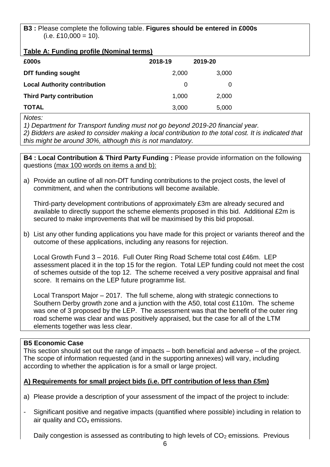#### **B3 :** Please complete the following table. **Figures should be entered in £000s**  $(i.e. £10,000 = 10).$

#### **Table A: Funding profile (Nominal terms)**

| £000s                               | 2018-19 | 2019-20 |
|-------------------------------------|---------|---------|
| <b>DfT funding sought</b>           | 2,000   | 3,000   |
| <b>Local Authority contribution</b> | 0       | 0       |
| <b>Third Party contribution</b>     | 1,000   | 2,000   |
| <b>TOTAL</b>                        | 3,000   | 5,000   |

*Notes:*

*1) Department for Transport funding must not go beyond 2019-20 financial year.*

*2) Bidders are asked to consider making a local contribution to the total cost. It is indicated that this might be around 30%, although this is not mandatory.*

**B4 : Local Contribution & Third Party Funding :** Please provide information on the following questions (max 100 words on items a and b):

a) Provide an outline of all non-DfT funding contributions to the project costs, the level of commitment, and when the contributions will become available.

Third-party development contributions of approximately £3m are already secured and available to directly support the scheme elements proposed in this bid. Additional £2m is secured to make improvements that will be maximised by this bid proposal.

b) List any other funding applications you have made for this project or variants thereof and the outcome of these applications, including any reasons for rejection.

Local Growth Fund 3 – 2016. Full Outer Ring Road Scheme total cost £46m. LEP assessment placed it in the top 15 for the region. Total LEP funding could not meet the cost of schemes outside of the top 12. The scheme received a very positive appraisal and final score. It remains on the LEP future programme list.

Local Transport Major – 2017. The full scheme, along with strategic connections to Southern Derby growth zone and a junction with the A50, total cost £110m. The scheme was one of 3 proposed by the LEP. The assessment was that the benefit of the outer ring road scheme was clear and was positively appraised, but the case for all of the LTM elements together was less clear.

#### **B5 Economic Case**

This section should set out the range of impacts – both beneficial and adverse – of the project. The scope of information requested (and in the supporting annexes) will vary, including according to whether the application is for a small or large project.

## **A) Requirements for small project bids (i.e. DfT contribution of less than £5m)**

- a) Please provide a description of your assessment of the impact of the project to include:
- Significant positive and negative impacts (quantified where possible) including in relation to air quality and CO₂ emissions.

Daily congestion is assessed as contributing to high levels of  $CO<sub>2</sub>$  emissions. Previous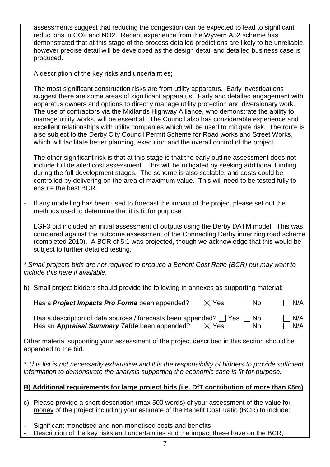assessments suggest that reducing the congestion can be expected to lead to significant reductions in CO2 and NO2. Recent experience from the Wyvern A52 scheme has demonstrated that at this stage of the process detailed predictions are likely to be unreliable, however precise detail will be developed as the design detail and detailed business case is produced.

A description of the key risks and uncertainties;

The most significant construction risks are from utility apparatus. Early investigations suggest there are some areas of significant apparatus. Early and detailed engagement with apparatus owners and options to directly manage utility protection and diversionary work. The use of contractors via the Midlands Highway Alliance, who demonstrate the ability to manage utility works, will be essential. The Council also has considerable experience and excellent relationships with utility companies which will be used to mitigate risk. The route is also subject to the Derby City Council Permit Scheme for Road works and Street Works, which will facilitate better planning, execution and the overall control of the project.

The other significant risk is that at this stage is that the early outline assessment does not include full detailed cost assessment. This will be mitigated by seeking additional funding during the full development stages. The scheme is also scalable, and costs could be controlled by delivering on the area of maximum value. This will need to be tested fully to ensure the best BCR.

- If any modelling has been used to forecast the impact of the project please set out the methods used to determine that it is fit for purpose

LGF3 bid included an initial assessment of outputs using the Derby DATM model. This was compared against the outcome assessment of the Connecting Derby inner ring road scheme (completed 2010). A BCR of 5:1 was projected, though we acknowledge that this would be subject to further detailed testing.

*\* Small projects bids are not required to produce a Benefit Cost Ratio (BCR) but may want to include this here if available.*

b) Small project bidders should provide the following in annexes as supporting material:

| Has a <b>Project Impacts Pro Forma</b> been appended? | $\boxtimes$ Yes | $\Box$ No | $\Box$ N/A |
|-------------------------------------------------------|-----------------|-----------|------------|
|-------------------------------------------------------|-----------------|-----------|------------|

| Has a description of data sources / forecasts been appended? $\Box$ Yes $\Box$ No |                 |    | $\Box$ N/A |
|-----------------------------------------------------------------------------------|-----------------|----|------------|
| Has an Appraisal Summary Table been appended?                                     | $\boxtimes$ Yes | No | $\Box$ N/A |

Other material supporting your assessment of the project described in this section should be appended to the bid.

*\* This list is not necessarily exhaustive and it is the responsibility of bidders to provide sufficient information to demonstrate the analysis supporting the economic case is fit-for-purpose.*

## **B) Additional requirements for large project bids (i.e. DfT contribution of more than £5m)**

- c) Please provide a short description (max 500 words) of your assessment of the value for money of the project including your estimate of the Benefit Cost Ratio (BCR) to include:
- Significant monetised and non-monetised costs and benefits
- Description of the key risks and uncertainties and the impact these have on the BCR;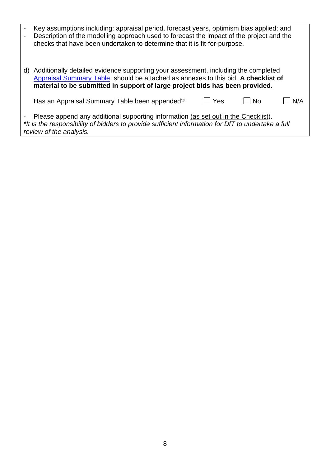|    | Key assumptions including: appraisal period, forecast years, optimism bias applied; and<br>Description of the modelling approach used to forecast the impact of the project and the<br>checks that have been undertaken to determine that it is fit-for-purpose. |
|----|------------------------------------------------------------------------------------------------------------------------------------------------------------------------------------------------------------------------------------------------------------------|
| d) | Additionally detailed evidence supporting your assessment, including the completed<br>Appraisal Summary Table, should be attached as annexes to this bid. A checklist of<br>material to be submitted in support of large project bids has been provided.         |
|    | Yes<br>N/A<br>Has an Appraisal Summary Table been appended?<br>No.                                                                                                                                                                                               |
|    | Please append any additional supporting information (as set out in the Checklist).<br>*It is the responsibility of bidders to provide sufficient information for DfT to undertake a full<br>review of the analysis.                                              |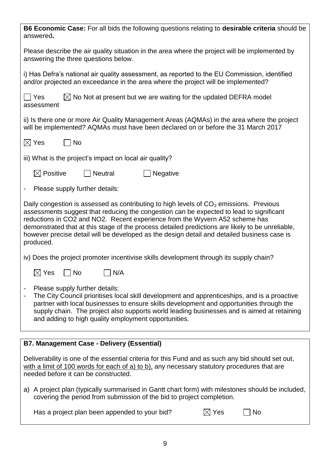| <b>B6 Economic Case:</b> For all bids the following questions relating to <b>desirable criteria</b> should be<br>answered.                                                                                                                                                                                                                                                                                                                                                         |
|------------------------------------------------------------------------------------------------------------------------------------------------------------------------------------------------------------------------------------------------------------------------------------------------------------------------------------------------------------------------------------------------------------------------------------------------------------------------------------|
| Please describe the air quality situation in the area where the project will be implemented by<br>answering the three questions below.                                                                                                                                                                                                                                                                                                                                             |
| i) Has Defra's national air quality assessment, as reported to the EU Commission, identified<br>and/or projected an exceedance in the area where the project will be implemented?                                                                                                                                                                                                                                                                                                  |
| Yes<br>$\boxtimes$ No Not at present but we are waiting for the updated DEFRA model<br>assessment                                                                                                                                                                                                                                                                                                                                                                                  |
| ii) Is there one or more Air Quality Management Areas (AQMAs) in the area where the project<br>will be implemented? AQMAs must have been declared on or before the 31 March 2017                                                                                                                                                                                                                                                                                                   |
| $\boxtimes$ Yes<br><b>No</b>                                                                                                                                                                                                                                                                                                                                                                                                                                                       |
| iii) What is the project's impact on local air quality?                                                                                                                                                                                                                                                                                                                                                                                                                            |
| $\boxtimes$ Positive<br><b>Neutral</b><br>Negative                                                                                                                                                                                                                                                                                                                                                                                                                                 |
| Please supply further details:<br>۰                                                                                                                                                                                                                                                                                                                                                                                                                                                |
| Daily congestion is assessed as contributing to high levels of $CO2$ emissions. Previous<br>assessments suggest that reducing the congestion can be expected to lead to significant<br>reductions in CO2 and NO2. Recent experience from the Wyvern A52 scheme has<br>demonstrated that at this stage of the process detailed predictions are likely to be unreliable,<br>however precise detail will be developed as the design detail and detailed business case is<br>produced. |
| iv) Does the project promoter incentivise skills development through its supply chain?                                                                                                                                                                                                                                                                                                                                                                                             |
| <b>No</b><br>N/A<br>$\boxtimes$ Yes                                                                                                                                                                                                                                                                                                                                                                                                                                                |
| Please supply further details:<br>The City Council prioritises local skill development and apprenticeships, and is a proactive<br>partner with local businesses to ensure skills development and opportunities through the<br>supply chain. The project also supports world leading businesses and is aimed at retaining<br>and adding to high quality employment opportunities.                                                                                                   |
|                                                                                                                                                                                                                                                                                                                                                                                                                                                                                    |
| <b>B7. Management Case - Delivery (Essential)</b>                                                                                                                                                                                                                                                                                                                                                                                                                                  |
| Deliverability is one of the essential criteria for this Fund and as such any bid should set out,<br>with a limit of 100 words for each of a) to b), any necessary statutory procedures that are<br>needed before it can be constructed.                                                                                                                                                                                                                                           |

a) A project plan (typically summarised in Gantt chart form) with milestones should be included, covering the period from submission of the bid to project completion.

Has a project plan been appended to your bid?  $\boxtimes$  Yes  $\Box$  No

|--|--|

|--|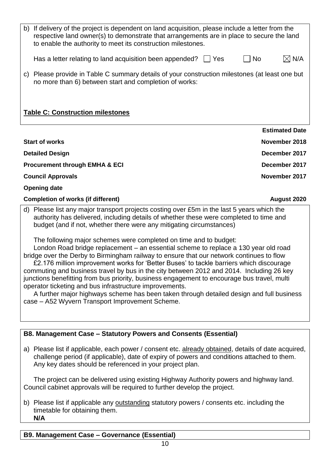| b)                                                                                                                                                                                                                                                                                                                                                                                                             | If delivery of the project is dependent on land acquisition, please include a letter from the<br>respective land owner(s) to demonstrate that arrangements are in place to secure the land<br>to enable the authority to meet its construction milestones.   |                       |  |  |
|----------------------------------------------------------------------------------------------------------------------------------------------------------------------------------------------------------------------------------------------------------------------------------------------------------------------------------------------------------------------------------------------------------------|--------------------------------------------------------------------------------------------------------------------------------------------------------------------------------------------------------------------------------------------------------------|-----------------------|--|--|
|                                                                                                                                                                                                                                                                                                                                                                                                                | Has a letter relating to land acquisition been appended?<br>  Yes                                                                                                                                                                                            | $\boxtimes$ N/A<br>No |  |  |
| C)                                                                                                                                                                                                                                                                                                                                                                                                             | Please provide in Table C summary details of your construction milestones (at least one but<br>no more than 6) between start and completion of works:                                                                                                        |                       |  |  |
| <b>Table C: Construction milestones</b>                                                                                                                                                                                                                                                                                                                                                                        |                                                                                                                                                                                                                                                              |                       |  |  |
|                                                                                                                                                                                                                                                                                                                                                                                                                |                                                                                                                                                                                                                                                              | <b>Estimated Date</b> |  |  |
| <b>Start of works</b>                                                                                                                                                                                                                                                                                                                                                                                          |                                                                                                                                                                                                                                                              | November 2018         |  |  |
| <b>Detailed Design</b>                                                                                                                                                                                                                                                                                                                                                                                         |                                                                                                                                                                                                                                                              | December 2017         |  |  |
| <b>Procurement through EMHA &amp; ECI</b>                                                                                                                                                                                                                                                                                                                                                                      |                                                                                                                                                                                                                                                              | December 2017         |  |  |
| <b>Council Approvals</b>                                                                                                                                                                                                                                                                                                                                                                                       |                                                                                                                                                                                                                                                              | November 2017         |  |  |
| <b>Opening date</b>                                                                                                                                                                                                                                                                                                                                                                                            |                                                                                                                                                                                                                                                              |                       |  |  |
|                                                                                                                                                                                                                                                                                                                                                                                                                | <b>Completion of works (if different)</b>                                                                                                                                                                                                                    | August 2020           |  |  |
|                                                                                                                                                                                                                                                                                                                                                                                                                | d) Please list any major transport projects costing over £5m in the last 5 years which the<br>authority has delivered, including details of whether these were completed to time and<br>budget (and if not, whether there were any mitigating circumstances) |                       |  |  |
| The following major schemes were completed on time and to budget:<br>London Road bridge replacement - an essential scheme to replace a 130 year old road<br>bridge over the Derby to Birmingham railway to ensure that our network continues to flow<br>£2.176 million improvement works for 'Better Buses' to tackle barriers which discourage<br>THE SECOND CHEFT CONTROL ON THE CONTROL CHANGE IN THE ANTI- |                                                                                                                                                                                                                                                              |                       |  |  |

commuting and business travel by bus in the city between 2012 and 2014. Including 26 key junctions benefitting from bus priority, business engagement to encourage bus travel, multi operator ticketing and bus infrastructure improvements.

A further major highways scheme has been taken through detailed design and full business case – A52 Wyvern Transport Improvement Scheme.

# **B8. Management Case – Statutory Powers and Consents (Essential)**

a) Please list if applicable, each power / consent etc. already obtained, details of date acquired, challenge period (if applicable), date of expiry of powers and conditions attached to them. Any key dates should be referenced in your project plan.

The project can be delivered using existing Highway Authority powers and highway land. Council cabinet approvals will be required to further develop the project.

b) Please list if applicable any outstanding statutory powers / consents etc. including the timetable for obtaining them. **N/A**

# **B9. Management Case – Governance (Essential)**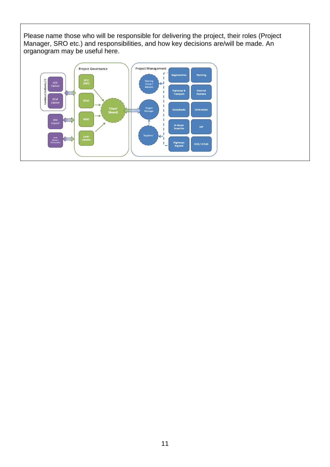Please name those who will be responsible for delivering the project, their roles (Project Manager, SRO etc.) and responsibilities, and how key decisions are/will be made. An organogram may be useful here.

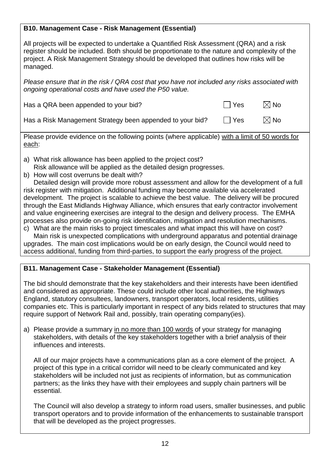### **B10. Management Case - Risk Management (Essential)**

All projects will be expected to undertake a Quantified Risk Assessment (QRA) and a risk register should be included. Both should be proportionate to the nature and complexity of the project. A Risk Management Strategy should be developed that outlines how risks will be managed.

*Please ensure that in the risk / QRA cost that you have not included any risks associated with ongoing operational costs and have used the P50 value.*

| Has a QRA been appended to your bid? | $\Box$ Yes | $\boxtimes$ No |
|--------------------------------------|------------|----------------|
|                                      |            |                |

Has a Risk Management Strategy been appended to your bid?  $\Box$  Yes  $\Box$  No

Please provide evidence on the following points (where applicable) with a limit of 50 words for each:

- a) What risk allowance has been applied to the project cost?
- Risk allowance will be applied as the detailed design progresses.
- b) How will cost overruns be dealt with?

Detailed design will provide more robust assessment and allow for the development of a full risk register with mitigation. Additional funding may become available via accelerated development. The project is scalable to achieve the best value. The delivery will be procured through the East Midlands Highway Alliance, which ensures that early contractor involvement and value engineering exercises are integral to the design and delivery process. The EMHA processes also provide on-going risk identification, mitigation and resolution mechanisms.

c) What are the main risks to project timescales and what impact this will have on cost? Main risk is unexpected complications with underground apparatus and potential drainage

upgrades. The main cost implications would be on early design, the Council would need to access additional, funding from third-parties, to support the early progress of the project.

### **B11. Management Case - Stakeholder Management (Essential)**

The bid should demonstrate that the key stakeholders and their interests have been identified and considered as appropriate. These could include other local authorities, the Highways England, statutory consultees, landowners, transport operators, local residents, utilities companies etc. This is particularly important in respect of any bids related to structures that may require support of Network Rail and, possibly, train operating company(ies).

a) Please provide a summary in no more than 100 words of your strategy for managing stakeholders, with details of the key stakeholders together with a brief analysis of their influences and interests.

All of our major projects have a communications plan as a core element of the project. A project of this type in a critical corridor will need to be clearly communicated and key stakeholders will be included not just as recipients of information, but as communication partners; as the links they have with their employees and supply chain partners will be essential.

The Council will also develop a strategy to inform road users, smaller businesses, and public transport operators and to provide information of the enhancements to sustainable transport that will be developed as the project progresses.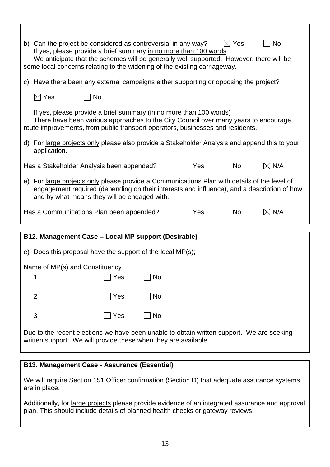| $\boxtimes$ Yes<br>b) Can the project be considered as controversial in any way?<br><b>No</b><br>If yes, please provide a brief summary in no more than 100 words<br>We anticipate that the schemes will be generally well supported. However, there will be<br>some local concerns relating to the widening of the existing carriageway. |                                                                                                                                                                                                                                             |     |           |  |  |  |
|-------------------------------------------------------------------------------------------------------------------------------------------------------------------------------------------------------------------------------------------------------------------------------------------------------------------------------------------|---------------------------------------------------------------------------------------------------------------------------------------------------------------------------------------------------------------------------------------------|-----|-----------|--|--|--|
|                                                                                                                                                                                                                                                                                                                                           | c) Have there been any external campaigns either supporting or opposing the project?                                                                                                                                                        |     |           |  |  |  |
|                                                                                                                                                                                                                                                                                                                                           | $\boxtimes$ Yes<br>No                                                                                                                                                                                                                       |     |           |  |  |  |
|                                                                                                                                                                                                                                                                                                                                           | If yes, please provide a brief summary (in no more than 100 words)<br>There have been various approaches to the City Council over many years to encourage<br>route improvements, from public transport operators, businesses and residents. |     |           |  |  |  |
|                                                                                                                                                                                                                                                                                                                                           | d) For large projects only please also provide a Stakeholder Analysis and append this to your<br>application.                                                                                                                               |     |           |  |  |  |
| $\boxtimes$ N/A<br>  No<br>  Yes<br>Has a Stakeholder Analysis been appended?                                                                                                                                                                                                                                                             |                                                                                                                                                                                                                                             |     |           |  |  |  |
|                                                                                                                                                                                                                                                                                                                                           | e) For large projects only please provide a Communications Plan with details of the level of<br>engagement required (depending on their interests and influence), and a description of how<br>and by what means they will be engaged with.  |     |           |  |  |  |
| $\boxtimes$ N/A<br><b>No</b><br>Has a Communications Plan been appended?<br>Yes                                                                                                                                                                                                                                                           |                                                                                                                                                                                                                                             |     |           |  |  |  |
|                                                                                                                                                                                                                                                                                                                                           |                                                                                                                                                                                                                                             |     |           |  |  |  |
|                                                                                                                                                                                                                                                                                                                                           | B12. Management Case - Local MP support (Desirable)                                                                                                                                                                                         |     |           |  |  |  |
|                                                                                                                                                                                                                                                                                                                                           | e) Does this proposal have the support of the local $MP(s)$ ;                                                                                                                                                                               |     |           |  |  |  |
| Name of MP(s) and Constituency                                                                                                                                                                                                                                                                                                            |                                                                                                                                                                                                                                             |     |           |  |  |  |
|                                                                                                                                                                                                                                                                                                                                           |                                                                                                                                                                                                                                             | Yes | No        |  |  |  |
|                                                                                                                                                                                                                                                                                                                                           | $\overline{2}$                                                                                                                                                                                                                              | Yes | <b>No</b> |  |  |  |
|                                                                                                                                                                                                                                                                                                                                           | 3                                                                                                                                                                                                                                           | Yes | <b>No</b> |  |  |  |
| Due to the recent elections we have been unable to obtain written support. We are seeking<br>written support. We will provide these when they are available.                                                                                                                                                                              |                                                                                                                                                                                                                                             |     |           |  |  |  |

### **B13. Management Case - Assurance (Essential)**

We will require Section 151 Officer confirmation (Section D) that adequate assurance systems are in place.

Additionally, for large projects please provide evidence of an integrated assurance and approval plan. This should include details of planned health checks or gateway reviews.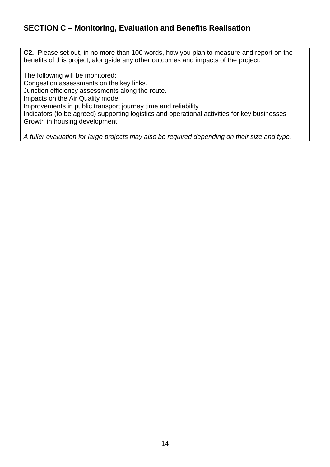# **SECTION C – Monitoring, Evaluation and Benefits Realisation**

**C2.** Please set out, in no more than 100 words, how you plan to measure and report on the benefits of this project, alongside any other outcomes and impacts of the project.

The following will be monitored: Congestion assessments on the key links. Junction efficiency assessments along the route. Impacts on the Air Quality model Improvements in public transport journey time and reliability Indicators (to be agreed) supporting logistics and operational activities for key businesses Growth in housing development

*A fuller evaluation for large projects may also be required depending on their size and type.*